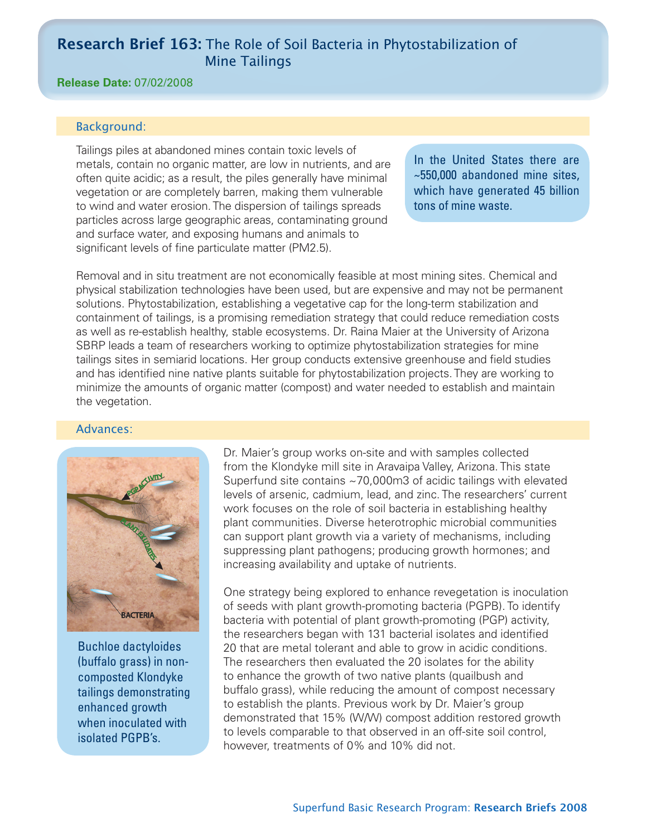# **Research Brief 163:** The Role of Soil Bacteria in Phytostabilization of Mine Tailings

# **Release Date:** 07/02/2008

# Background:

Tailings piles at abandoned mines contain toxic levels of metals, contain no organic matter, are low in nutrients, and are often quite acidic; as a result, the piles generally have minimal vegetation or are completely barren, making them vulnerable to wind and water erosion. The dispersion of tailings spreads particles across large geographic areas, contaminating ground and surface water, and exposing humans and animals to significant levels of fine particulate matter (PM2.5).

In the United States there are ~550,000 abandoned mine sites, which have generated 45 billion tons of mine waste.

Removal and in situ treatment are not economically feasible at most mining sites. Chemical and physical stabilization technologies have been used, but are expensive and may not be permanent solutions. Phytostabilization, establishing a vegetative cap for the long-term stabilization and containment of tailings, is a promising remediation strategy that could reduce remediation costs as well as re-establish healthy, stable ecosystems. Dr. Raina Maier at the University of Arizona SBRP leads a team of researchers working to optimize phytostabilization strategies for mine tailings sites in semiarid locations. Her group conducts extensive greenhouse and field studies and has identified nine native plants suitable for phytostabilization projects. They are working to minimize the amounts of organic matter (compost) and water needed to establish and maintain the vegetation.

## Advances:



Buchloe dactyloides (buffalo grass) in noncomposted Klondyke tailings demonstrating enhanced growth when inoculated with isolated PGPB's.

Dr. Maier's group works on-site and with samples collected from the Klondyke mill site in Aravaipa Valley, Arizona. This state Superfund site contains ~70,000m3 of acidic tailings with elevated levels of arsenic, cadmium, lead, and zinc. The researchers' current work focuses on the role of soil bacteria in establishing healthy plant communities. Diverse heterotrophic microbial communities can support plant growth via a variety of mechanisms, including suppressing plant pathogens; producing growth hormones; and increasing availability and uptake of nutrients.

One strategy being explored to enhance revegetation is inoculation of seeds with plant growth-promoting bacteria (PGPB). To identify bacteria with potential of plant growth-promoting (PGP) activity, the researchers began with 131 bacterial isolates and identified 20 that are metal tolerant and able to grow in acidic conditions. The researchers then evaluated the 20 isolates for the ability to enhance the growth of two native plants (quailbush and buffalo grass), while reducing the amount of compost necessary to establish the plants. Previous work by Dr. Maier's group demonstrated that 15% (W/W) compost addition restored growth to levels comparable to that observed in an off-site soil control, however, treatments of 0% and 10% did not.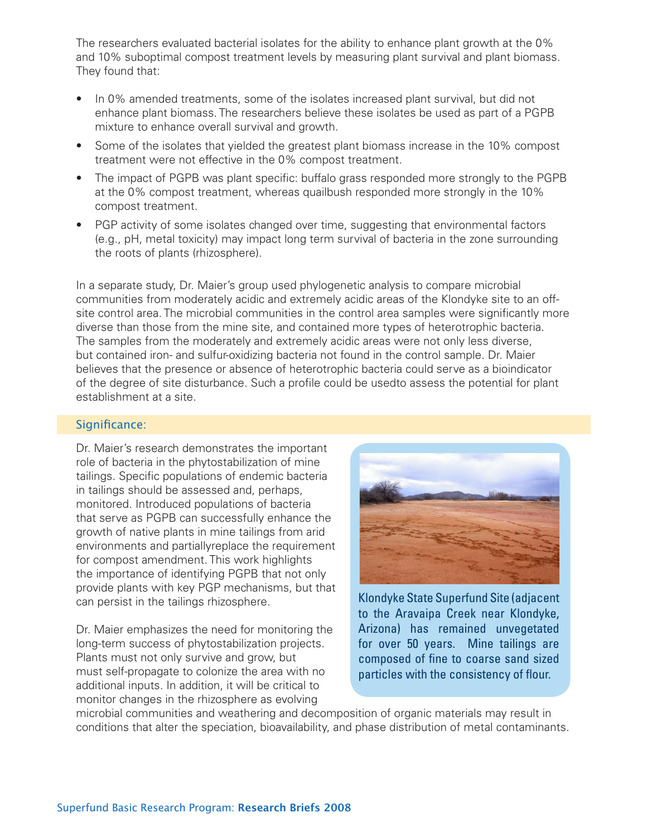The researchers evaluated bacterial isolates for the ability to enhance plant growth at the 0% and 10% suboptimal compost treatment levels by measuring plant survival and plant biomass. They found that:

- In 0% amended treatments, some of the isolates increased plant survival, but did not enhance plant biomass. The researchers believe these isolates be used as part of a PGPB mixture to enhance overall survival and growth.
- Some of the isolates that yielded the greatest plant biomass increase in the 10% compost treatment were not effective in the 0% compost treatment.
- The impact of PGPB was plant specific: buffalo grass responded more strongly to the PGPB at the 0% compost treatment, whereas quailbush responded more strongly in the 10% compost treatment.
- PGP activity of some isolates changed over time, suggesting that environmental factors (e.g., pH, metal toxicity) may impact long term survival of bacteria in the zone surrounding the roots of plants (rhizosphere).

In a separate study, Dr. Maier's group used phylogenetic analysis to compare microbial communities from moderately acidic and extremely acidic areas of the Klondyke site to an offsite control area. The microbial communities in the control area samples were significantly more diverse than those from the mine site, and contained more types of heterotrophic bacteria. The samples from the moderately and extremely acidic areas were not only less diverse, but contained iron- and sulfur-oxidizing bacteria not found in the control sample. Dr. Maier believes that the presence or absence of heterotrophic bacteria could serve as a bioindicator of the degree of site disturbance. Such a profile could be usedto assess the potential for plant establishment at a site.

#### Significance:

Dr. Maier's research demonstrates the important role of bacteria in the phytostabilization of mine tailings. Specific populations of endemic bacteria in tailings should be assessed and, perhaps, monitored. Introduced populations of bacteria that serve as PGPB can successfully enhance the growth of native plants in mine tailings from arid environments and partiallyreplace the requirement for compost amendment. This work highlights the importance of identifying PGPB that not only provide plants with key PGP mechanisms, but that can persist in the tailings rhizosphere.

Dr. Maier emphasizes the need for monitoring the long-term success of phytostabilization projects. Plants must not only survive and grow, but must self-propagate to colonize the area with no additional inputs. In addition, it will be critical to monitor changes in the rhizosphere as evolving



Klondyke State Superfund Site (adjacent to the Aravaipa Creek near Klondyke, Arizona) has remained unvegetated for over 50 years. Mine tailings are composed of fine to coarse sand sized particles with the consistency of flour.

microbial communities and weathering and decomposition of organic materials may result in conditions that alter the speciation, bioavailability, and phase distribution of metal contaminants.